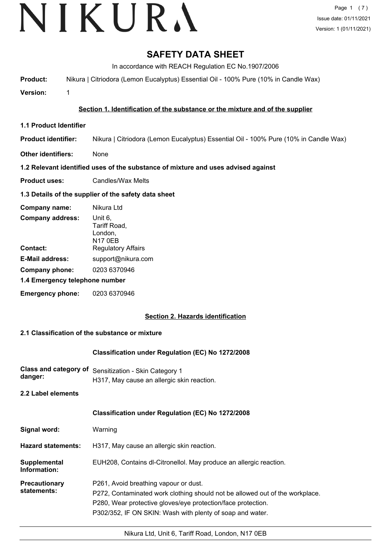# **SAFETY DATA SHEET**

In accordance with REACH Regulation EC No.1907/2006

**Product:** Nikura | Citriodora (Lemon Eucalyptus) Essential Oil - 100% Pure (10% in Candle Wax)

**Version:** 1

# **Section 1. Identification of the substance or the mixture and of the supplier**

**1.1 Product Identifier**

**Product identifier:** Nikura | Citriodora (Lemon Eucalyptus) Essential Oil - 100% Pure (10% in Candle Wax)

**Other identifiers:** None

#### **1.2 Relevant identified uses of the substance of mixture and uses advised against**

**Product uses:** Candles/Wax Melts

## **1.3 Details of the supplier of the safety data sheet**

| Company name:                  | Nikura Ltd                                           |  |
|--------------------------------|------------------------------------------------------|--|
| <b>Company address:</b>        | Unit 6,<br>Tariff Road,<br>London,<br><b>N17 0EB</b> |  |
| Contact:                       | <b>Regulatory Affairs</b>                            |  |
| <b>E-Mail address:</b>         | support@nikura.com                                   |  |
| Company phone:                 | 0203 6370946                                         |  |
| 1.4 Emergency telephone number |                                                      |  |
| <b>Emergency phone:</b>        | 0203 6370946                                         |  |

#### **Section 2. Hazards identification**

#### **2.1 Classification of the substance or mixture**

#### **Classification under Regulation (EC) No 1272/2008**

**Class and category of** Sensitization - Skin Category 1 **danger:** H317, May cause an allergic skin reaction.

**2.2 Label elements**

#### **Classification under Regulation (EC) No 1272/2008**

| Signal word: | Warning |
|--------------|---------|
|--------------|---------|

- **Hazard statements:** H317, May cause an allergic skin reaction.
- **Supplemental** EUH208, Contains dl-Citronellol. May produce an allergic reaction. **Information:**

**Precautionary statements:** P261, Avoid breathing vapour or dust.

P272, Contaminated work clothing should not be allowed out of the workplace.

P280, Wear protective gloves/eye protection/face protection.

P302/352, IF ON SKIN: Wash with plenty of soap and water.

Nikura Ltd, Unit 6, Tariff Road, London, N17 0EB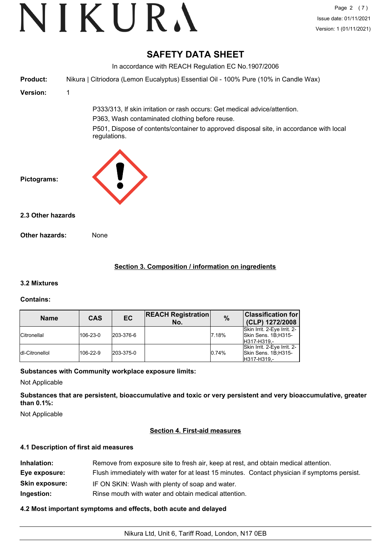# **SAFETY DATA SHEET**

In accordance with REACH Regulation EC No.1907/2006 **Product:** Nikura | Citriodora (Lemon Eucalyptus) Essential Oil - 100% Pure (10% in Candle Wax) **Version:** 1 P333/313, If skin irritation or rash occurs: Get medical advice/attention. P363, Wash contaminated clothing before reuse. P501, Dispose of contents/container to approved disposal site, in accordance with local regulations. **Pictograms: Other hazards:** None **2.3 Other hazards**

# **Section 3. Composition / information on ingredients**

# **3.2 Mixtures**

# **Contains:**

| <b>Name</b>        | <b>CAS</b> | <b>EC</b> | <b>REACH Registration</b><br>No. | $\frac{0}{0}$ | <b>Classification for</b><br>(CLP) 1272/2008                      |
|--------------------|------------|-----------|----------------------------------|---------------|-------------------------------------------------------------------|
| <b>Citronellal</b> | 106-23-0   | 203-376-6 |                                  | 7.18%         | Skin Irrit. 2-Eye Irrit. 2-<br>Skin Sens. 1B;H315-<br>H317-H319.- |
| Idl-Citronellol    | 106-22-9   | 203-375-0 |                                  | 0.74%         | Skin Irrit. 2-Eye Irrit. 2-<br>Skin Sens. 1B;H315-<br>H317-H319,- |

# **Substances with Community workplace exposure limits:**

Not Applicable

**Substances that are persistent, bioaccumulative and toxic or very persistent and very bioaccumulative, greater than 0.1%:**

Not Applicable

# **Section 4. First-aid measures**

#### **4.1 Description of first aid measures**

| Inhalation:           | Remove from exposure site to fresh air, keep at rest, and obtain medical attention.          |  |
|-----------------------|----------------------------------------------------------------------------------------------|--|
| Eye exposure:         | Flush immediately with water for at least 15 minutes. Contact physician if symptoms persist. |  |
| <b>Skin exposure:</b> | IF ON SKIN: Wash with plenty of soap and water.                                              |  |
| Ingestion:            | Rinse mouth with water and obtain medical attention.                                         |  |

# **4.2 Most important symptoms and effects, both acute and delayed**

Nikura Ltd, Unit 6, Tariff Road, London, N17 0EB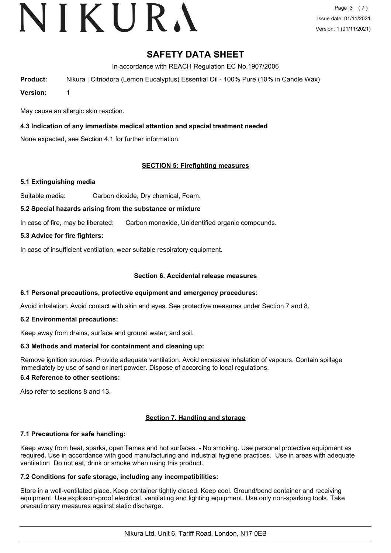# **SAFETY DATA SHEET**

In accordance with REACH Regulation EC No.1907/2006

**Product:** Nikura | Citriodora (Lemon Eucalyptus) Essential Oil - 100% Pure (10% in Candle Wax)

**Version:** 1

May cause an allergic skin reaction.

# **4.3 Indication of any immediate medical attention and special treatment needed**

None expected, see Section 4.1 for further information.

## **SECTION 5: Firefighting measures**

## **5.1 Extinguishing media**

Suitable media: Carbon dioxide, Dry chemical, Foam.

## **5.2 Special hazards arising from the substance or mixture**

In case of fire, may be liberated: Carbon monoxide, Unidentified organic compounds.

## **5.3 Advice for fire fighters:**

In case of insufficient ventilation, wear suitable respiratory equipment.

## **Section 6. Accidental release measures**

#### **6.1 Personal precautions, protective equipment and emergency procedures:**

Avoid inhalation. Avoid contact with skin and eyes. See protective measures under Section 7 and 8.

#### **6.2 Environmental precautions:**

Keep away from drains, surface and ground water, and soil.

#### **6.3 Methods and material for containment and cleaning up:**

Remove ignition sources. Provide adequate ventilation. Avoid excessive inhalation of vapours. Contain spillage immediately by use of sand or inert powder. Dispose of according to local regulations.

#### **6.4 Reference to other sections:**

Also refer to sections 8 and 13.

#### **Section 7. Handling and storage**

#### **7.1 Precautions for safe handling:**

Keep away from heat, sparks, open flames and hot surfaces. - No smoking. Use personal protective equipment as required. Use in accordance with good manufacturing and industrial hygiene practices. Use in areas with adequate ventilation Do not eat, drink or smoke when using this product.

#### **7.2 Conditions for safe storage, including any incompatibilities:**

Store in a well-ventilated place. Keep container tightly closed. Keep cool. Ground/bond container and receiving equipment. Use explosion-proof electrical, ventilating and lighting equipment. Use only non-sparking tools. Take precautionary measures against static discharge.

Nikura Ltd, Unit 6, Tariff Road, London, N17 0EB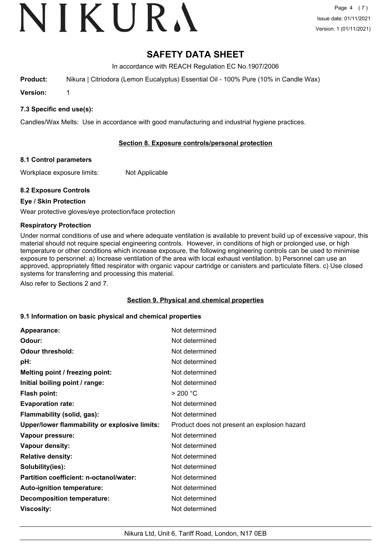# **SAFETY DATA SHEET**

In accordance with REACH Regulation EC No.1907/2006

**Product:** Nikura | Citriodora (Lemon Eucalyptus) Essential Oil - 100% Pure (10% in Candle Wax)

**Version:** 1

## **7.3 Specific end use(s):**

Candles/Wax Melts: Use in accordance with good manufacturing and industrial hygiene practices.

## **Section 8. Exposure controls/personal protection**

#### **8.1 Control parameters**

Workplace exposure limits: Not Applicable

## **8.2 Exposure Controls**

## **Eye / Skin Protection**

Wear protective gloves/eye protection/face protection

## **Respiratory Protection**

Under normal conditions of use and where adequate ventilation is available to prevent build up of excessive vapour, this material should not require special engineering controls. However, in conditions of high or prolonged use, or high temperature or other conditions which increase exposure, the following engineering controls can be used to minimise exposure to personnel: a) Increase ventilation of the area with local exhaust ventilation. b) Personnel can use an approved, appropriately fitted respirator with organic vapour cartridge or canisters and particulate filters. c) Use closed systems for transferring and processing this material.

Also refer to Sections 2 and 7.

#### **Section 9. Physical and chemical properties**

#### **9.1 Information on basic physical and chemical properties**

| Appearance:                                          | Not determined                               |
|------------------------------------------------------|----------------------------------------------|
| Odour:                                               | Not determined                               |
| <b>Odour threshold:</b>                              | Not determined                               |
| pH:                                                  | Not determined                               |
| Melting point / freezing point:                      | Not determined                               |
| Initial boiling point / range:                       | Not determined                               |
| <b>Flash point:</b>                                  | > 200 °C                                     |
| <b>Evaporation rate:</b>                             | Not determined                               |
| Flammability (solid, gas):                           | Not determined                               |
| <b>Upper/lower flammability or explosive limits:</b> | Product does not present an explosion hazard |
| Vapour pressure:                                     | Not determined                               |
| Vapour density:                                      | Not determined                               |
| <b>Relative density:</b>                             | Not determined                               |
| Solubility(ies):                                     | Not determined                               |
| Partition coefficient: n-octanol/water:              | Not determined                               |
| Auto-ignition temperature:                           | Not determined                               |
| <b>Decomposition temperature:</b>                    | Not determined                               |
| Viscosity:                                           | Not determined                               |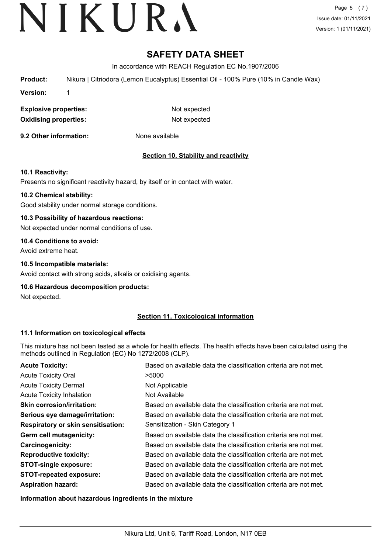# **SAFETY DATA SHEET**

In accordance with REACH Regulation EC No.1907/2006

**Product:** Nikura | Citriodora (Lemon Eucalyptus) Essential Oil - 100% Pure (10% in Candle Wax)

**Version:** 1

**Explosive properties:** Not expected **Oxidising properties:** Not expected

**9.2 Other information:** None available

# **Section 10. Stability and reactivity**

#### **10.1 Reactivity:**

Presents no significant reactivity hazard, by itself or in contact with water.

#### **10.2 Chemical stability:**

Good stability under normal storage conditions.

## **10.3 Possibility of hazardous reactions:**

Not expected under normal conditions of use.

#### **10.4 Conditions to avoid:**

Avoid extreme heat.

## **10.5 Incompatible materials:**

Avoid contact with strong acids, alkalis or oxidising agents.

#### **10.6 Hazardous decomposition products:**

Not expected.

# **Section 11. Toxicological information**

#### **11.1 Information on toxicological effects**

This mixture has not been tested as a whole for health effects. The health effects have been calculated using the methods outlined in Regulation (EC) No 1272/2008 (CLP).

| <b>Acute Toxicity:</b>                    | Based on available data the classification criteria are not met. |
|-------------------------------------------|------------------------------------------------------------------|
| <b>Acute Toxicity Oral</b>                | >5000                                                            |
| <b>Acute Toxicity Dermal</b>              | Not Applicable                                                   |
| <b>Acute Toxicity Inhalation</b>          | Not Available                                                    |
| <b>Skin corrosion/irritation:</b>         | Based on available data the classification criteria are not met. |
| Serious eye damage/irritation:            | Based on available data the classification criteria are not met. |
| <b>Respiratory or skin sensitisation:</b> | Sensitization - Skin Category 1                                  |
| Germ cell mutagenicity:                   | Based on available data the classification criteria are not met. |
| Carcinogenicity:                          | Based on available data the classification criteria are not met. |
| <b>Reproductive toxicity:</b>             | Based on available data the classification criteria are not met. |
| <b>STOT-single exposure:</b>              | Based on available data the classification criteria are not met. |
| <b>STOT-repeated exposure:</b>            | Based on available data the classification criteria are not met. |
| <b>Aspiration hazard:</b>                 | Based on available data the classification criteria are not met. |

**Information about hazardous ingredients in the mixture**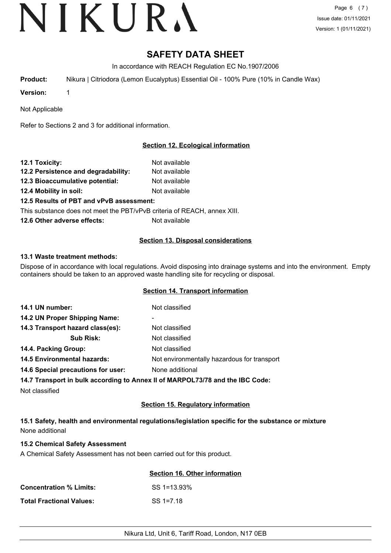# NIKURA

# **SAFETY DATA SHEET**

In accordance with REACH Regulation EC No.1907/2006

**Product:** Nikura | Citriodora (Lemon Eucalyptus) Essential Oil - 100% Pure (10% in Candle Wax)

**Version:** 1

Not Applicable

Refer to Sections 2 and 3 for additional information.

# **Section 12. Ecological information**

| 12.1 Toxicity:                           | Not available |
|------------------------------------------|---------------|
| 12.2 Persistence and degradability:      | Not available |
| 12.3 Bioaccumulative potential:          | Not available |
| 12.4 Mobility in soil:                   | Not available |
| 12.5 Results of PBT and vPvB assessment: |               |

This substance does not meet the PBT/vPvB criteria of REACH, annex XIII.

**12.6 Other adverse effects:** Not available

# **Section 13. Disposal considerations**

## **13.1 Waste treatment methods:**

Dispose of in accordance with local regulations. Avoid disposing into drainage systems and into the environment. Empty containers should be taken to an approved waste handling site for recycling or disposal.

#### **Section 14. Transport information**

| 14.1 UN number:                    | Not classified                                                                |
|------------------------------------|-------------------------------------------------------------------------------|
| 14.2 UN Proper Shipping Name:      | ۰                                                                             |
| 14.3 Transport hazard class(es):   | Not classified                                                                |
| <b>Sub Risk:</b>                   | Not classified                                                                |
| 14.4. Packing Group:               | Not classified                                                                |
| <b>14.5 Environmental hazards:</b> | Not environmentally hazardous for transport                                   |
| 14.6 Special precautions for user: | None additional                                                               |
|                                    | 14.7 Transport in bulk according to Annex II of MARPOL73/78 and the IBC Code: |
| Not classified                     |                                                                               |

#### **Section 15. Regulatory information**

**15.1 Safety, health and environmental regulations/legislation specific for the substance or mixture** None additional

#### **15.2 Chemical Safety Assessment**

A Chemical Safety Assessment has not been carried out for this product.

|                                 | Section 16. Other information |
|---------------------------------|-------------------------------|
| <b>Concentration % Limits:</b>  | SS 1=13.93%                   |
| <b>Total Fractional Values:</b> | $SS = 12.18$                  |